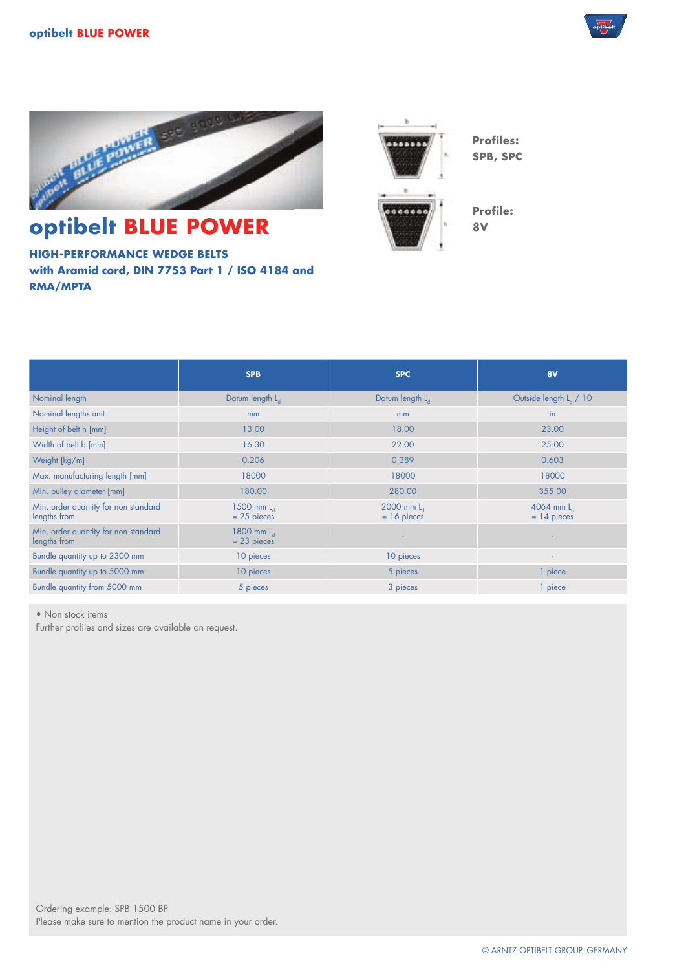



## **optibelt BLUE POWER**

**HIGH-PERFORMANCE WEDGE BELTS with Aramid cord, DIN 7753 Part 1 / ISO 4184 and RMA/MPTA**



**Profile: 8V**

**Profiles: SPB, SPC**

|                                                      | <b>SPB</b>                    | <b>SPC</b>                  | 8V                                 |
|------------------------------------------------------|-------------------------------|-----------------------------|------------------------------------|
| Nominal length                                       | Datum length L                | Datum length L <sub>d</sub> | Outside length L <sub>a</sub> / 10 |
| Nominal lengths unit                                 | m <sub>m</sub>                | mm                          | in                                 |
| Height of belt h [mm]                                | 13.00                         | 18.00                       | 23,00                              |
| Width of belt b [mm]                                 | 16.30                         | 22.00                       | 25.00                              |
| Weight [kg/m]                                        | 0.206                         | 0.389                       | 0.603                              |
| Max. manufacturing length [mm]                       | 18000                         | 18000                       | 18000                              |
| Min. pulley diameter [mm]                            | 180.00                        | 280.00                      | 355.00                             |
| Min. order quantity for non standard<br>lengths from | 1500 mm $La$<br>$= 25$ pieces | 2000 mm L<br>$= 16$ pieces  | 4064 mm $L_a$<br>$= 14$ pieces     |
| Min. order quantity for non standard<br>lengths from | 1800 mm $La$<br>$= 23$ pieces |                             |                                    |
| Bundle quantity up to 2300 mm                        | 10 pieces                     | 10 pieces                   | $\blacksquare$                     |
| Bundle quantity up to 5000 mm                        | 10 pieces                     | 5 pieces                    | 1 piece                            |
| Bundle quantity from 5000 mm                         | 5 pieces                      | 3 pieces                    | piece                              |

• Non stock items

Further profiles and sizes are available on request.